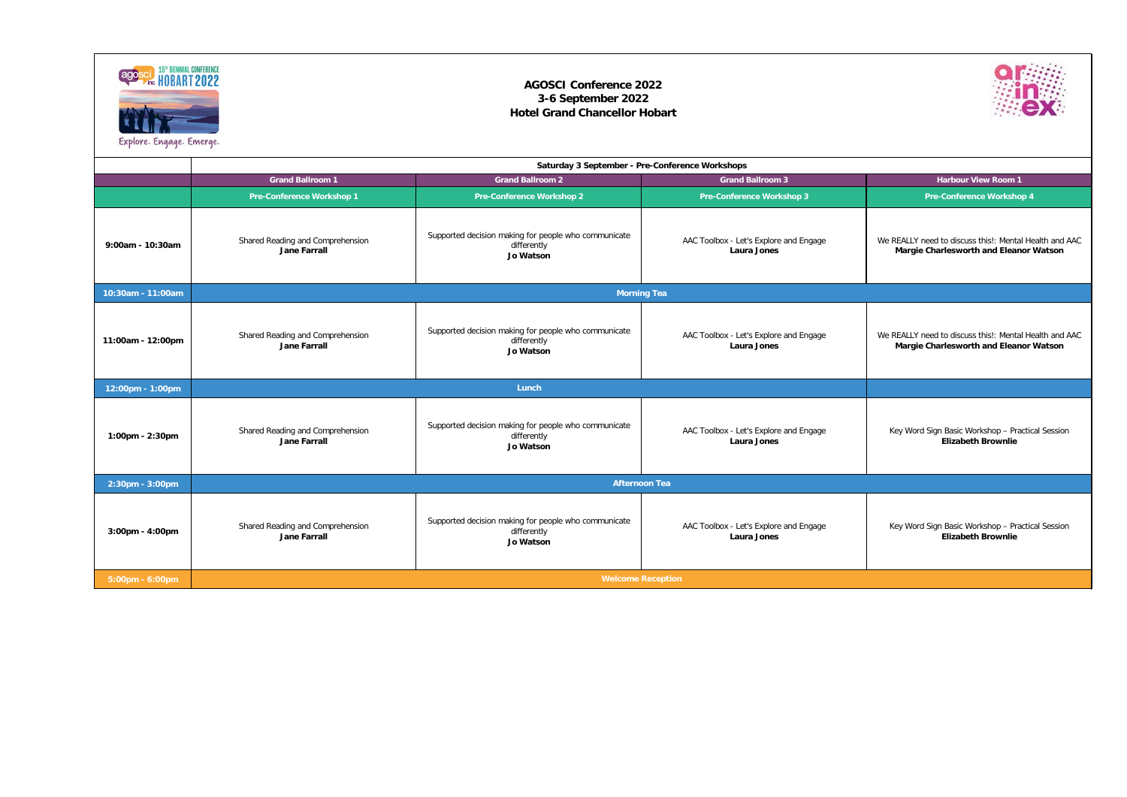|                       | Saturday 3 September - Pre-Conference Workshops         |                                                                                         |                                                              |                                                                                                         |  |
|-----------------------|---------------------------------------------------------|-----------------------------------------------------------------------------------------|--------------------------------------------------------------|---------------------------------------------------------------------------------------------------------|--|
|                       | <b>Grand Ballroom 1</b>                                 | <b>Grand Ballroom 2</b>                                                                 | <b>Grand Ballroom 3</b>                                      | <b>Harbour View Room 1</b>                                                                              |  |
|                       | <b>Pre-Conference Workshop 1</b>                        | <b>Pre-Conference Workshop 2</b>                                                        | <b>Pre-Conference Workshop 3</b>                             | <b>Pre-Conference Workshop 4</b>                                                                        |  |
| 9:00am - 10:30am      | Shared Reading and Comprehension<br><b>Jane Farrall</b> | Supported decision making for people who communicate<br>differently<br>Jo Watson        | AAC Toolbox - Let's Explore and Engage<br>Laura Jones        | We REALLY need to discuss this!: Mental Health and AAC<br><b>Margie Charlesworth and Eleanor Watson</b> |  |
| 10:30am - 11:00am     | <b>Morning Tea</b>                                      |                                                                                         |                                                              |                                                                                                         |  |
| 11:00am - 12:00pm     | Shared Reading and Comprehension<br><b>Jane Farrall</b> | Supported decision making for people who communicate<br>differently<br>Jo Watson        | AAC Toolbox - Let's Explore and Engage<br><b>Laura Jones</b> | We REALLY need to discuss this!: Mental Health and AAC<br><b>Margie Charlesworth and Eleanor Watson</b> |  |
| 12:00pm - 1:00pm      |                                                         | Lunch                                                                                   |                                                              |                                                                                                         |  |
| 1:00pm - 2:30pm       | Shared Reading and Comprehension<br><b>Jane Farrall</b> | Supported decision making for people who communicate<br>differently<br><b>Jo Watson</b> | AAC Toolbox - Let's Explore and Engage<br><b>Laura Jones</b> | Key Word Sign Basic Workshop - Practical Session<br><b>Elizabeth Brownlie</b>                           |  |
| 2:30pm - 3:00pm       |                                                         |                                                                                         | <b>Afternoon Tea</b>                                         |                                                                                                         |  |
| $3:00$ pm - $4:00$ pm | Shared Reading and Comprehension<br><b>Jane Farrall</b> | Supported decision making for people who communicate<br>differently<br>Jo Watson        | AAC Toolbox - Let's Explore and Engage<br><b>Laura Jones</b> | Key Word Sign Basic Workshop - Practical Session<br><b>Elizabeth Brownlie</b>                           |  |
| 5:00pm - 6:00pm       | <b>Welcome Reception</b>                                |                                                                                         |                                                              |                                                                                                         |  |





## **AGOSCI Conference 2022 3-6 September 2022 Hotel Grand Chancellor Hobart**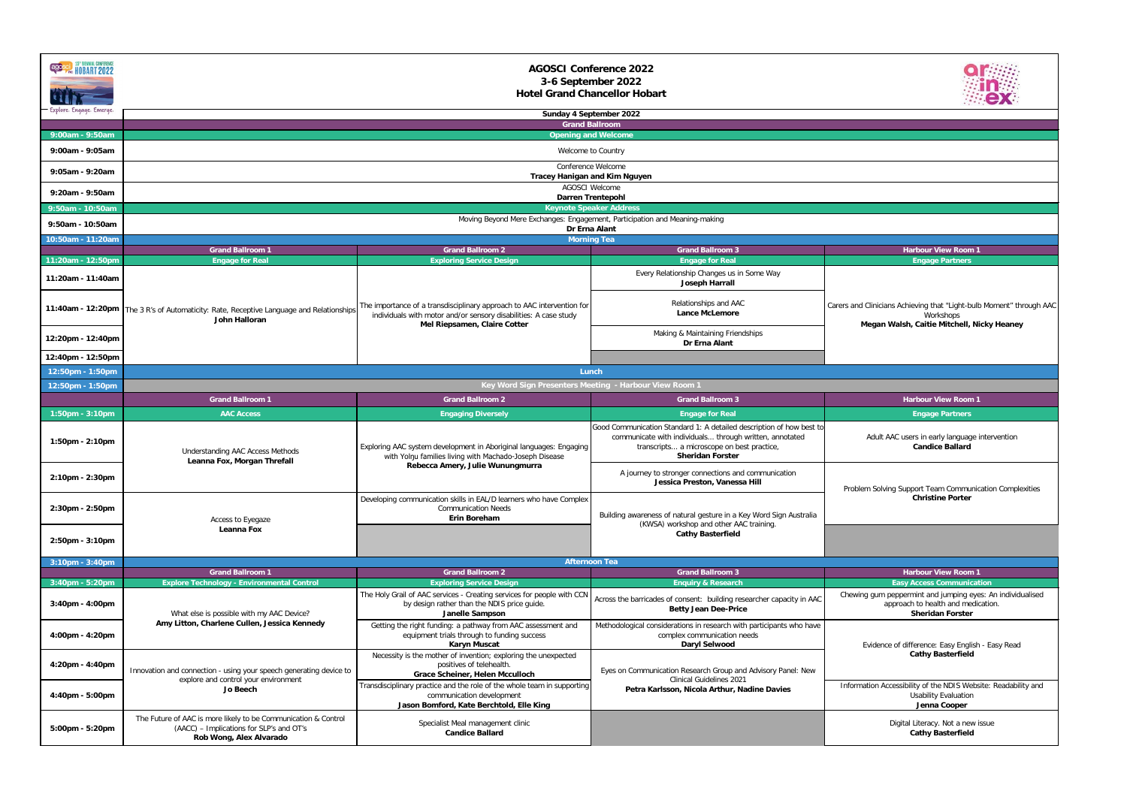| <b>agosci 15" BIENNIAL CONFERENCE</b><br>Explore. Engage. Emerge | <b>AGOSCI Conference 2022</b><br>3-6 September 2022<br><b>Hotel Grand Chancellor Hobart</b><br>Sunday 4 September 2022                |                                                                                                                                                                                    |                                                                                                                                                                                                          |                                                                                                                                 |  |
|------------------------------------------------------------------|---------------------------------------------------------------------------------------------------------------------------------------|------------------------------------------------------------------------------------------------------------------------------------------------------------------------------------|----------------------------------------------------------------------------------------------------------------------------------------------------------------------------------------------------------|---------------------------------------------------------------------------------------------------------------------------------|--|
|                                                                  |                                                                                                                                       |                                                                                                                                                                                    | <b>Grand Ballroom</b>                                                                                                                                                                                    |                                                                                                                                 |  |
| 9:00am - 9:50am                                                  |                                                                                                                                       |                                                                                                                                                                                    | <b>Opening and Welcome</b>                                                                                                                                                                               |                                                                                                                                 |  |
| 9:00am - 9:05am                                                  |                                                                                                                                       |                                                                                                                                                                                    | Welcome to Country                                                                                                                                                                                       |                                                                                                                                 |  |
| 9:05am - 9:20am                                                  |                                                                                                                                       | <b>Tracey Hanigan and Kim Nguyen</b>                                                                                                                                               | Conference Welcome                                                                                                                                                                                       |                                                                                                                                 |  |
| 9:20am - 9:50am                                                  |                                                                                                                                       |                                                                                                                                                                                    | <b>AGOSCI Welcome</b><br><b>Darren Trentepohl</b>                                                                                                                                                        |                                                                                                                                 |  |
| 9:50am - 10:50am                                                 |                                                                                                                                       |                                                                                                                                                                                    | <b>Keynote Speaker Address</b>                                                                                                                                                                           |                                                                                                                                 |  |
| 9:50am - 10:50am                                                 | Moving Beyond Mere Exchanges: Engagement, Participation and Meaning-making<br>Dr Erna Alant                                           |                                                                                                                                                                                    |                                                                                                                                                                                                          |                                                                                                                                 |  |
| 10:50am - 11:20am                                                |                                                                                                                                       |                                                                                                                                                                                    | <b>Morning Tea</b>                                                                                                                                                                                       |                                                                                                                                 |  |
| 11:20am - 12:50pm                                                | <b>Grand Ballroom 1</b><br><b>Engage for Real</b>                                                                                     | <b>Grand Ballroom 2</b><br><b>Exploring Service Design</b>                                                                                                                         | <b>Grand Ballroom 3</b><br><b>Engage for Real</b>                                                                                                                                                        | <b>Harbour View Room 1</b><br><b>Engage Partners</b>                                                                            |  |
| 11:20am - 11:40am                                                |                                                                                                                                       |                                                                                                                                                                                    | Every Relationship Changes us in Some Way<br><b>Joseph Harrall</b>                                                                                                                                       |                                                                                                                                 |  |
|                                                                  | 11:40am - 12:20pm   The 3 R's of Automaticity: Rate, Receptive Language and Relationships<br>John Halloran                            | The importance of a transdisciplinary approach to AAC intervention for<br>individuals with motor and/or sensory disabilities: A case study<br>Mel Riepsamen, Claire Cotter         | Relationships and AAC<br><b>Lance McLemore</b>                                                                                                                                                           | Carers and Clinicians Achieving that "Light-bulb Moment" through AAC<br>Workshops<br>Megan Walsh, Caitie Mitchell, Nicky Heaney |  |
| 12:20pm - 12:40pm                                                |                                                                                                                                       |                                                                                                                                                                                    | Making & Maintaining Friendships<br>Dr Erna Alant                                                                                                                                                        |                                                                                                                                 |  |
| 12:40pm - 12:50pm                                                |                                                                                                                                       |                                                                                                                                                                                    |                                                                                                                                                                                                          |                                                                                                                                 |  |
| 12:50pm - 1:50pm                                                 |                                                                                                                                       |                                                                                                                                                                                    | Lunch                                                                                                                                                                                                    |                                                                                                                                 |  |
| 12:50pm - 1:50pm                                                 |                                                                                                                                       |                                                                                                                                                                                    | Key Word Sign Presenters Meeting - Harbour View Room 1                                                                                                                                                   |                                                                                                                                 |  |
|                                                                  | <b>Grand Ballroom 1</b>                                                                                                               | <b>Grand Ballroom 2</b>                                                                                                                                                            | <b>Grand Ballroom 3</b>                                                                                                                                                                                  | <b>Harbour View Room 1</b>                                                                                                      |  |
| $1:50$ pm - $3:10$ pm                                            | <b>AAC Access</b>                                                                                                                     | <b>Engaging Diversely</b>                                                                                                                                                          | <b>Engage for Real</b>                                                                                                                                                                                   | <b>Engage Partners</b>                                                                                                          |  |
| 1:50pm - 2:10pm                                                  | <b>Understanding AAC Access Methods</b>                                                                                               | Exploring AAC system development in Aboriginal languages: Engaging<br>with Yolnu families living with Machado-Joseph Disease<br>Rebecca Amery, Julie Wunungmurra                   | Good Communication Standard 1: A detailed description of how best to<br>communicate with individuals through written, annotated<br>transcripts a microscope on best practice,<br><b>Sheridan Forster</b> | Adult AAC users in early language intervention<br><b>Candice Ballard</b>                                                        |  |
| 2:10pm - 2:30pm                                                  | Leanna Fox, Morgan Threfall                                                                                                           |                                                                                                                                                                                    | A journey to stronger connections and communication<br>Jessica Preston, Vanessa Hill                                                                                                                     | Problem Solving Support Team Communication Complexities                                                                         |  |
| 2:30pm - 2:50pm                                                  | Access to Eyegaze                                                                                                                     | Developing communication skills in EAL/D learners who have Complex<br><b>Communication Needs</b><br><b>Erin Boreham</b>                                                            | Building awareness of natural gesture in a Key Word Sign Australia<br>(KWSA) workshop and other AAC training.                                                                                            | <b>Christine Porter</b>                                                                                                         |  |
| 2:50pm - 3:10pm                                                  | Leanna Fox                                                                                                                            |                                                                                                                                                                                    | <b>Cathy Basterfield</b>                                                                                                                                                                                 |                                                                                                                                 |  |
| $3:10$ pm - $3:40$ pm                                            |                                                                                                                                       |                                                                                                                                                                                    | <b>Afternoon Tea</b>                                                                                                                                                                                     |                                                                                                                                 |  |
|                                                                  | <b>Grand Ballroom 1</b>                                                                                                               | <b>Grand Ballroom 2</b>                                                                                                                                                            | <b>Grand Ballroom 3</b>                                                                                                                                                                                  | <b>Harbour View Room 1</b><br><b>Easy Access Communication</b>                                                                  |  |
| $3:40$ pm - 5:20pm<br>$3:40$ pm - $4:00$ pm                      | <b>Explore Technology - Environmental Control</b><br>What else is possible with my AAC Device?                                        | <b>Exploring Service Design</b><br>The Holy Grail of AAC services - Creating services for people with CCN<br>by design rather than the NDIS price guide.<br><b>Janelle Sampson</b> | <b>Enquiry &amp; Research</b><br>Across the barricades of consent: building researcher capacity in AAC<br><b>Betty Jean Dee-Price</b>                                                                    | Chewing gum peppermint and jumping eyes: An individualised<br>approach to health and medication.<br><b>Sheridan Forster</b>     |  |
| 4:00pm - 4:20pm                                                  | Amy Litton, Charlene Cullen, Jessica Kennedy                                                                                          | Getting the right funding: a pathway from AAC assessment and<br>equipment trials through to funding success<br><b>Karyn Muscat</b>                                                 | Methodological considerations in research with participants who have<br>complex communication needs<br><b>Daryl Selwood</b>                                                                              | Evidence of difference: Easy English - Easy Read                                                                                |  |
| 4:20pm - 4:40pm                                                  | Innovation and connection - using your speech generating device to                                                                    | Necessity is the mother of invention; exploring the unexpected<br>positives of telehealth.<br>Grace Scheiner, Helen Mcculloch                                                      | Eyes on Communication Research Group and Advisory Panel: New<br><b>Clinical Guidelines 2021</b>                                                                                                          | <b>Cathy Basterfield</b>                                                                                                        |  |
| 4:40pm - 5:00pm                                                  | explore and control your environment<br>Jo Beech                                                                                      | Transdisciplinary practice and the role of the whole team in supporting<br>communication development<br>Jason Bomford, Kate Berchtold, Elle King                                   | Petra Karlsson, Nicola Arthur, Nadine Davies                                                                                                                                                             | Information Accessibility of the NDIS Website: Readability and<br><b>Usability Evaluation</b><br>Jenna Cooper                   |  |
| 5:00pm - 5:20pm                                                  | The Future of AAC is more likely to be Communication & Control<br>(AACC) – Implications for SLP's and OT's<br>Rob Wong, Alex Alvarado | Specialist Meal management clinic<br><b>Candice Ballard</b>                                                                                                                        |                                                                                                                                                                                                          | Digital Literacy. Not a new issue<br><b>Cathy Basterfield</b>                                                                   |  |

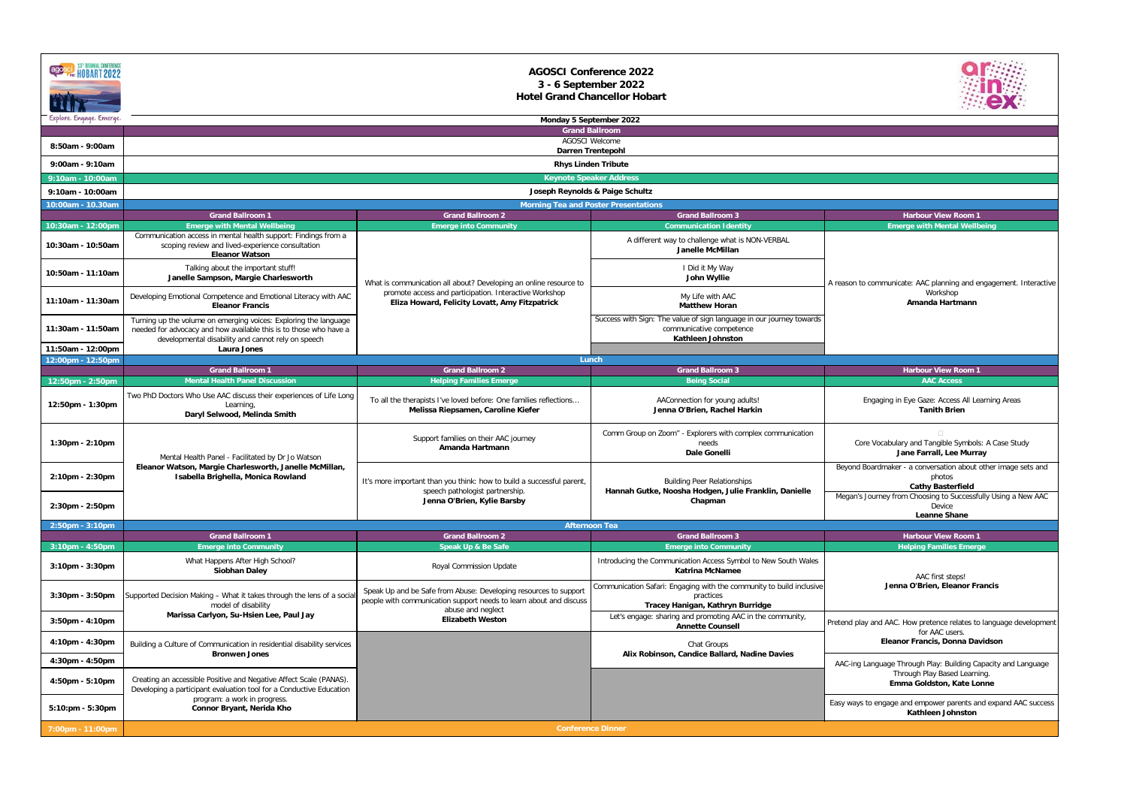| agosel HOBART 2022       |                                                                                                                                                                                             | <b>AGOSCI Conference 2022</b><br>3 - 6 September 2022<br><b>Hotel Grand Chancellor Hobart</b>                                           |                                                                                                                              |                                                                                                     |
|--------------------------|---------------------------------------------------------------------------------------------------------------------------------------------------------------------------------------------|-----------------------------------------------------------------------------------------------------------------------------------------|------------------------------------------------------------------------------------------------------------------------------|-----------------------------------------------------------------------------------------------------|
| Explore. Engage. Emerge. | <b>Monday 5 September 2022</b><br><b>Grand Ballroom</b>                                                                                                                                     |                                                                                                                                         |                                                                                                                              |                                                                                                     |
|                          |                                                                                                                                                                                             | <b>AGOSCI Welcome</b>                                                                                                                   |                                                                                                                              |                                                                                                     |
| 8:50am - 9:00am          |                                                                                                                                                                                             | <b>Darren Trentepohl</b>                                                                                                                |                                                                                                                              |                                                                                                     |
| 9:00am - 9:10am          |                                                                                                                                                                                             | <b>Rhys Linden Tribute</b>                                                                                                              |                                                                                                                              |                                                                                                     |
| 9:10am - 10:00am         |                                                                                                                                                                                             | <b>Keynote Speaker Address</b>                                                                                                          |                                                                                                                              |                                                                                                     |
| 9:10am - 10:00am         |                                                                                                                                                                                             | Joseph Reynolds & Paige Schultz<br><b>Morning Tea and Poster Presentations</b>                                                          |                                                                                                                              |                                                                                                     |
| 10:00am - 10.30am        | <b>Grand Ballroom 1</b>                                                                                                                                                                     | <b>Grand Ballroom 2</b>                                                                                                                 | <b>Grand Ballroom 3</b>                                                                                                      | <b>Harbour View Room 1</b>                                                                          |
| 10:30am - 12:00pm        | <b>Emerge with Mental Wellbeing</b>                                                                                                                                                         | <b>Emerge into Community</b>                                                                                                            | <b>Communication Identity</b>                                                                                                | <b>Emerge with Mental Wellbeing</b>                                                                 |
| 10:30am - 10:50am        | Communication access in mental health support: Findings from a<br>scoping review and lived-experience consultation<br><b>Eleanor Watson</b>                                                 |                                                                                                                                         | A different way to challenge what is NON-VERBAL<br><b>Janelle McMillan</b>                                                   |                                                                                                     |
| 10:50am - 11:10am        | Talking about the important stuff!<br>Janelle Sampson, Margie Charlesworth                                                                                                                  | What is communication all about? Developing an online resource to                                                                       | I Did it My Way<br>John Wyllie                                                                                               | A reason to communicate: AAC planning and engagement. Interactive<br>Workshop<br>Amanda Hartmann    |
| 11:10am - 11:30am        | Developing Emotional Competence and Emotional Literacy with AAC<br><b>Eleanor Francis</b>                                                                                                   | promote access and participation. Interactive Workshop<br>Eliza Howard, Felicity Lovatt, Amy Fitzpatrick                                | My Life with AAC<br><b>Matthew Horan</b>                                                                                     |                                                                                                     |
| 11:30am - 11:50am        | Turning up the volume on emerging voices: Exploring the language<br>needed for advocacy and how available this is to those who have a<br>developmental disability and cannot rely on speech |                                                                                                                                         | Success with Sign: The value of sign language in our journey towards<br>communicative competence<br><b>Kathleen Johnston</b> |                                                                                                     |
| 11:50am - 12:00pm        | Laura Jones                                                                                                                                                                                 |                                                                                                                                         |                                                                                                                              |                                                                                                     |
| 12:00pm - 12:50pm        | <b>Grand Ballroom 1</b>                                                                                                                                                                     | Lunch<br><b>Grand Ballroom 2</b>                                                                                                        | <b>Grand Ballroom 3</b>                                                                                                      | <b>Harbour View Room 1</b>                                                                          |
| 12:50pm - 2:50pm         | <b>Mental Health Panel Discussion</b>                                                                                                                                                       | <b>Helping Families Emerge</b>                                                                                                          | <b>Being Social</b>                                                                                                          | <b>AAC Access</b>                                                                                   |
| 12:50pm - 1:30pm         | Two PhD Doctors Who Use AAC discuss their experiences of Life Long<br>Learning,<br>Daryl Selwood, Melinda Smith                                                                             | To all the therapists I've loved before: One families reflections<br>Melissa Riepsamen, Caroline Kiefer                                 | AAConnection for young adults!<br>Jenna O'Brien, Rachel Harkin                                                               | Engaging in Eye Gaze: Access All Learning Areas<br><b>Tanith Brien</b>                              |
| $1:30$ pm - 2:10pm       | Mental Health Panel - Facilitated by Dr Jo Watson                                                                                                                                           | Support families on their AAC journey<br>Amanda Hartmann                                                                                | Comm Group on Zoom" - Explorers with complex communication<br>needs<br><b>Dale Gonelli</b>                                   | Core Vocabulary and Tangible Symbols: A Case Study<br>Jane Farrall, Lee Murray                      |
| 2:10pm - 2:30pm          | Eleanor Watson, Margie Charlesworth, Janelle McMillan,<br>Isabella Brighella, Monica Rowland                                                                                                | It's more important than you think: how to build a successful parent,<br>speech pathologist partnership.<br>Jenna O'Brien, Kylie Barsby | <b>Building Peer Relationships</b><br>Hannah Gutke, Noosha Hodgen, Julie Franklin, Danielle<br>Chapman                       | Beyond Boardmaker - a conversation about other image sets and<br>photos<br><b>Cathy Basterfield</b> |
| 2:30pm - 2:50pm          |                                                                                                                                                                                             |                                                                                                                                         |                                                                                                                              | Megan's Journey from Choosing to Successfully Using a New AAC<br>Device<br><b>Leanne Shane</b>      |
| 2:50pm - 3:10pm          |                                                                                                                                                                                             | <b>Afternoon Tea</b>                                                                                                                    |                                                                                                                              |                                                                                                     |
| $3:10$ pm - $4:50$ pm    | <b>Grand Ballroom 1</b><br><b>Emerge into Community</b>                                                                                                                                     | <b>Grand Ballroom 2</b><br><b>Speak Up &amp; Be Safe</b>                                                                                | <b>Grand Ballroom 3</b><br><b>Emerge into Community</b>                                                                      | <b>Harbour View Room 1</b><br><b>Helping Families Emerge</b>                                        |
| 3:10pm - 3:30pm          | What Happens After High School?<br><b>Siobhan Daley</b>                                                                                                                                     | <b>Royal Commission Update</b>                                                                                                          | Introducing the Communication Access Symbol to New South Wales<br><b>Katrina McNamee</b>                                     | AAC first steps!                                                                                    |
| $3:30$ pm - $3:50$ pm    | Supported Decision Making - What it takes through the lens of a social<br>model of disability                                                                                               | Speak Up and be Safe from Abuse: Developing resources to support<br>people with communication support needs to learn about and discuss  | Communication Safari: Engaging with the community to build inclusive<br>practices<br>Tracey Hanigan, Kathryn Burridge        | Jenna O'Brien, Eleanor Francis                                                                      |
| $3:50$ pm - $4:10$ pm    | Marissa Carlyon, Su-Hsien Lee, Paul Jay                                                                                                                                                     | abuse and neglect<br><b>Elizabeth Weston</b>                                                                                            | Let's engage: sharing and promoting AAC in the community,<br><b>Annette Counsell</b>                                         | Pretend play and AAC. How pretence relates to language development<br>for AAC users.                |
| 4:10pm - 4:30pm          | Building a Culture of Communication in residential disability services<br><b>Bronwen Jones</b>                                                                                              |                                                                                                                                         | Chat Groups<br>Alix Robinson, Candice Ballard, Nadine Davies                                                                 | Eleanor Francis, Donna Davidson                                                                     |
| 4:30pm - 4:50pm          |                                                                                                                                                                                             |                                                                                                                                         |                                                                                                                              | AAC-ing Language Through Play: Building Capacity and Language                                       |
| 4:50pm - 5:10pm          | Creating an accessible Positive and Negative Affect Scale (PANAS).<br>Developing a participant evaluation tool for a Conductive Education                                                   |                                                                                                                                         |                                                                                                                              | Through Play Based Learning.<br>Emma Goldston, Kate Lonne                                           |
| 5:10:pm - 5:30pm         | program: a work in progress.<br><b>Connor Bryant, Nerida Kho</b>                                                                                                                            |                                                                                                                                         |                                                                                                                              | Easy ways to engage and empower parents and expand AAC success<br><b>Kathleen Johnston</b>          |
| 7:00pm - 11:00pm         |                                                                                                                                                                                             | <b>Conference Dinner</b>                                                                                                                |                                                                                                                              |                                                                                                     |